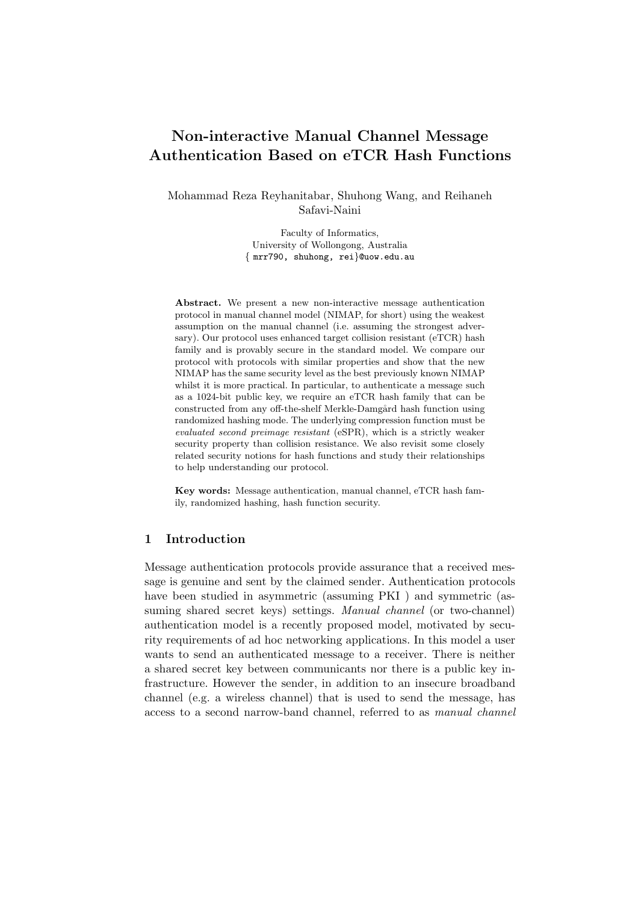# Non-interactive Manual Channel Message Authentication Based on eTCR Hash Functions

Mohammad Reza Reyhanitabar, Shuhong Wang, and Reihaneh Safavi-Naini

> Faculty of Informatics, University of Wollongong, Australia { mrr790, shuhong, rei}@uow.edu.au

Abstract. We present a new non-interactive message authentication protocol in manual channel model (NIMAP, for short) using the weakest assumption on the manual channel (i.e. assuming the strongest adversary). Our protocol uses enhanced target collision resistant (eTCR) hash family and is provably secure in the standard model. We compare our protocol with protocols with similar properties and show that the new NIMAP has the same security level as the best previously known NIMAP whilst it is more practical. In particular, to authenticate a message such as a 1024-bit public key, we require an eTCR hash family that can be constructed from any off-the-shelf Merkle-Damgård hash function using randomized hashing mode. The underlying compression function must be evaluated second preimage resistant (eSPR), which is a strictly weaker security property than collision resistance. We also revisit some closely related security notions for hash functions and study their relationships to help understanding our protocol.

Key words: Message authentication, manual channel, eTCR hash family, randomized hashing, hash function security.

# 1 Introduction

Message authentication protocols provide assurance that a received message is genuine and sent by the claimed sender. Authentication protocols have been studied in asymmetric (assuming PKI) and symmetric (assuming shared secret keys) settings. Manual channel (or two-channel) authentication model is a recently proposed model, motivated by security requirements of ad hoc networking applications. In this model a user wants to send an authenticated message to a receiver. There is neither a shared secret key between communicants nor there is a public key infrastructure. However the sender, in addition to an insecure broadband channel (e.g. a wireless channel) that is used to send the message, has access to a second narrow-band channel, referred to as manual channel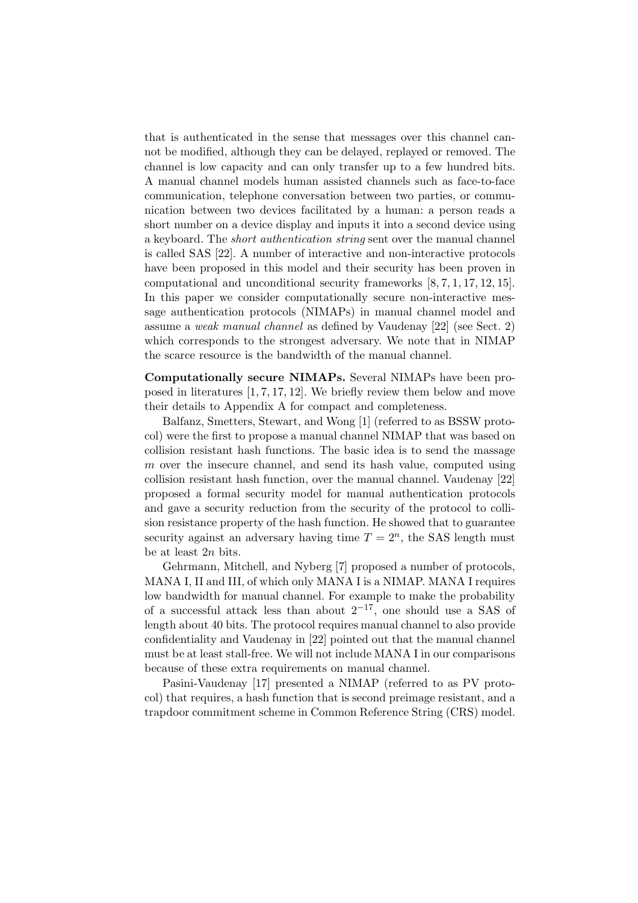that is authenticated in the sense that messages over this channel cannot be modified, although they can be delayed, replayed or removed. The channel is low capacity and can only transfer up to a few hundred bits. A manual channel models human assisted channels such as face-to-face communication, telephone conversation between two parties, or communication between two devices facilitated by a human: a person reads a short number on a device display and inputs it into a second device using a keyboard. The short authentication string sent over the manual channel is called SAS [22]. A number of interactive and non-interactive protocols have been proposed in this model and their security has been proven in computational and unconditional security frameworks [8, 7, 1, 17, 12, 15]. In this paper we consider computationally secure non-interactive message authentication protocols (NIMAPs) in manual channel model and assume a weak manual channel as defined by Vaudenay [22] (see Sect. 2) which corresponds to the strongest adversary. We note that in NIMAP the scarce resource is the bandwidth of the manual channel.

Computationally secure NIMAPs. Several NIMAPs have been proposed in literatures [1, 7, 17, 12]. We briefly review them below and move their details to Appendix A for compact and completeness.

Balfanz, Smetters, Stewart, and Wong [1] (referred to as BSSW protocol) were the first to propose a manual channel NIMAP that was based on collision resistant hash functions. The basic idea is to send the massage  $m$  over the insecure channel, and send its hash value, computed using collision resistant hash function, over the manual channel. Vaudenay [22] proposed a formal security model for manual authentication protocols and gave a security reduction from the security of the protocol to collision resistance property of the hash function. He showed that to guarantee security against an adversary having time  $T = 2<sup>n</sup>$ , the SAS length must be at least 2n bits.

Gehrmann, Mitchell, and Nyberg [7] proposed a number of protocols, MANA I, II and III, of which only MANA I is a NIMAP. MANA I requires low bandwidth for manual channel. For example to make the probability of a successful attack less than about  $2^{-17}$ , one should use a SAS of length about 40 bits. The protocol requires manual channel to also provide confidentiality and Vaudenay in [22] pointed out that the manual channel must be at least stall-free. We will not include MANA I in our comparisons because of these extra requirements on manual channel.

Pasini-Vaudenay [17] presented a NIMAP (referred to as PV protocol) that requires, a hash function that is second preimage resistant, and a trapdoor commitment scheme in Common Reference String (CRS) model.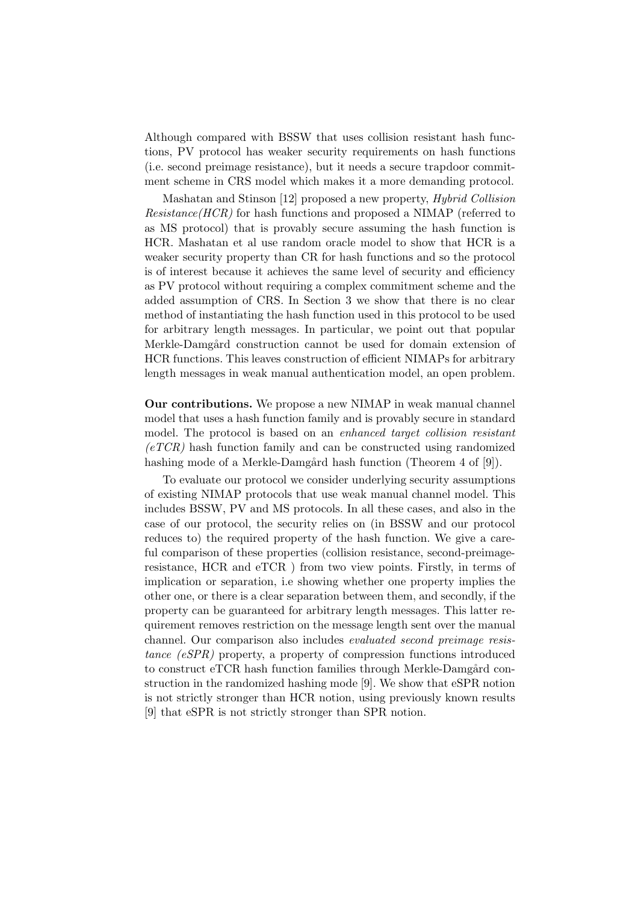Although compared with BSSW that uses collision resistant hash functions, PV protocol has weaker security requirements on hash functions (i.e. second preimage resistance), but it needs a secure trapdoor commitment scheme in CRS model which makes it a more demanding protocol.

Mashatan and Stinson [12] proposed a new property, Hybrid Collision Resistance(HCR) for hash functions and proposed a NIMAP (referred to as MS protocol) that is provably secure assuming the hash function is HCR. Mashatan et al use random oracle model to show that HCR is a weaker security property than CR for hash functions and so the protocol is of interest because it achieves the same level of security and efficiency as PV protocol without requiring a complex commitment scheme and the added assumption of CRS. In Section 3 we show that there is no clear method of instantiating the hash function used in this protocol to be used for arbitrary length messages. In particular, we point out that popular Merkle-Damgård construction cannot be used for domain extension of HCR functions. This leaves construction of efficient NIMAPs for arbitrary length messages in weak manual authentication model, an open problem.

Our contributions. We propose a new NIMAP in weak manual channel model that uses a hash function family and is provably secure in standard model. The protocol is based on an enhanced target collision resistant  $(eTCR)$  hash function family and can be constructed using randomized hashing mode of a Merkle-Damgård hash function (Theorem 4 of  $[9]$ ).

To evaluate our protocol we consider underlying security assumptions of existing NIMAP protocols that use weak manual channel model. This includes BSSW, PV and MS protocols. In all these cases, and also in the case of our protocol, the security relies on (in BSSW and our protocol reduces to) the required property of the hash function. We give a careful comparison of these properties (collision resistance, second-preimageresistance, HCR and eTCR ) from two view points. Firstly, in terms of implication or separation, i.e showing whether one property implies the other one, or there is a clear separation between them, and secondly, if the property can be guaranteed for arbitrary length messages. This latter requirement removes restriction on the message length sent over the manual channel. Our comparison also includes evaluated second preimage resistance (eSPR) property, a property of compression functions introduced to construct eTCR hash function families through Merkle-Damgård construction in the randomized hashing mode [9]. We show that eSPR notion is not strictly stronger than HCR notion, using previously known results [9] that eSPR is not strictly stronger than SPR notion.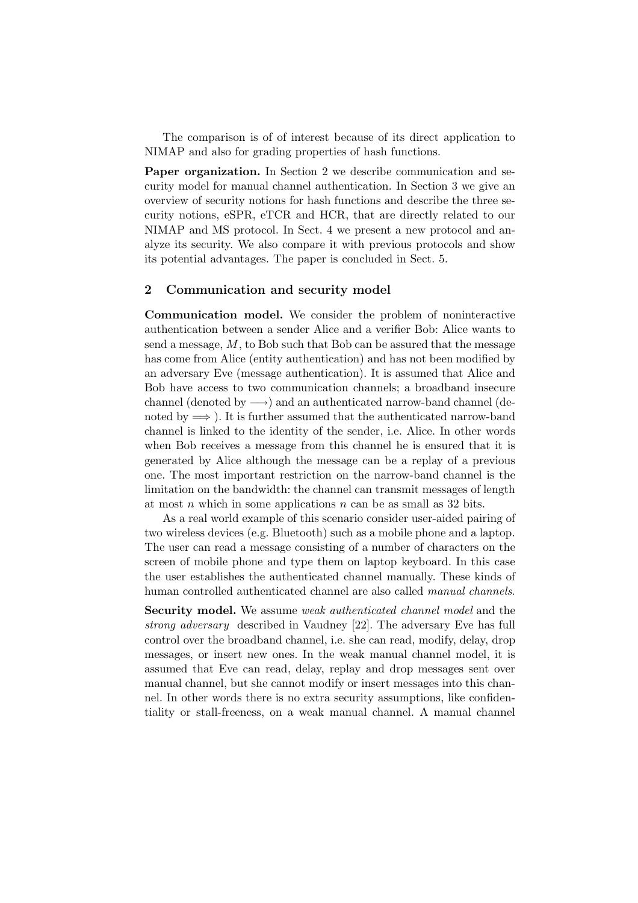The comparison is of of interest because of its direct application to NIMAP and also for grading properties of hash functions.

Paper organization. In Section 2 we describe communication and security model for manual channel authentication. In Section 3 we give an overview of security notions for hash functions and describe the three security notions, eSPR, eTCR and HCR, that are directly related to our NIMAP and MS protocol. In Sect. 4 we present a new protocol and analyze its security. We also compare it with previous protocols and show its potential advantages. The paper is concluded in Sect. 5.

# 2 Communication and security model

Communication model. We consider the problem of noninteractive authentication between a sender Alice and a verifier Bob: Alice wants to send a message,  $M$ , to Bob such that Bob can be assured that the message has come from Alice (entity authentication) and has not been modified by an adversary Eve (message authentication). It is assumed that Alice and Bob have access to two communication channels; a broadband insecure channel (denoted by  $\longrightarrow$ ) and an authenticated narrow-band channel (denoted by  $\implies$ ). It is further assumed that the authenticated narrow-band channel is linked to the identity of the sender, i.e. Alice. In other words when Bob receives a message from this channel he is ensured that it is generated by Alice although the message can be a replay of a previous one. The most important restriction on the narrow-band channel is the limitation on the bandwidth: the channel can transmit messages of length at most *n* which in some applications *n* can be as small as 32 bits.

As a real world example of this scenario consider user-aided pairing of two wireless devices (e.g. Bluetooth) such as a mobile phone and a laptop. The user can read a message consisting of a number of characters on the screen of mobile phone and type them on laptop keyboard. In this case the user establishes the authenticated channel manually. These kinds of human controlled authenticated channel are also called manual channels.

Security model. We assume *weak authenticated channel model* and the strong adversary described in Vaudney [22]. The adversary Eve has full control over the broadband channel, i.e. she can read, modify, delay, drop messages, or insert new ones. In the weak manual channel model, it is assumed that Eve can read, delay, replay and drop messages sent over manual channel, but she cannot modify or insert messages into this channel. In other words there is no extra security assumptions, like confidentiality or stall-freeness, on a weak manual channel. A manual channel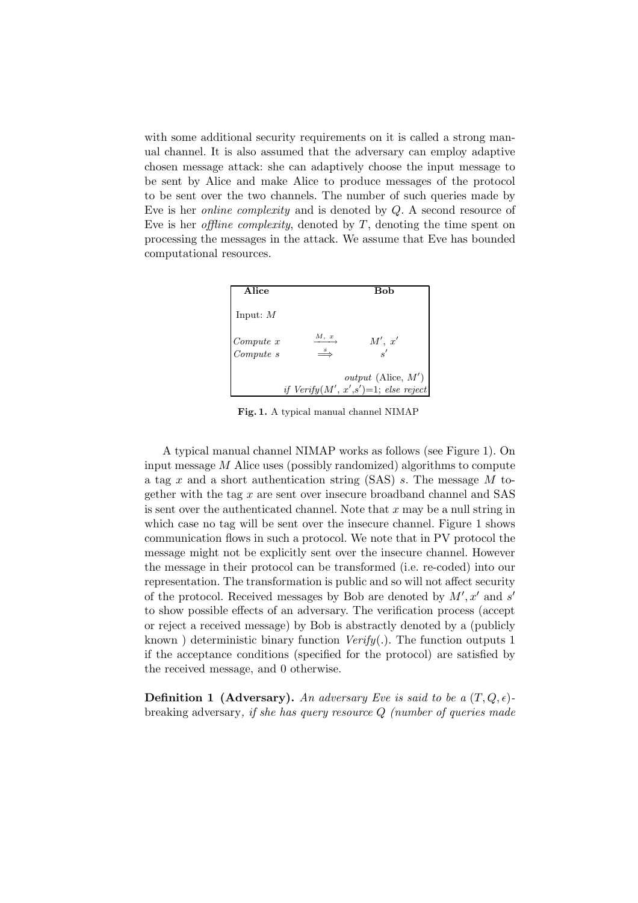with some additional security requirements on it is called a strong manual channel. It is also assumed that the adversary can employ adaptive chosen message attack: she can adaptively choose the input message to be sent by Alice and make Alice to produce messages of the protocol to be sent over the two channels. The number of such queries made by Eve is her *online complexity* and is denoted by  $Q$ . A second resource of Eve is her *offline complexity*, denoted by  $T$ , denoting the time spent on processing the messages in the attack. We assume that Eve has bounded computational resources.



Fig. 1. A typical manual channel NIMAP

A typical manual channel NIMAP works as follows (see Figure 1). On input message  $M$  Alice uses (possibly randomized) algorithms to compute a tag x and a short authentication string  $(SAS)$  s. The message M together with the tag  $x$  are sent over insecure broadband channel and  $SAS$ is sent over the authenticated channel. Note that  $x$  may be a null string in which case no tag will be sent over the insecure channel. Figure 1 shows communication flows in such a protocol. We note that in PV protocol the message might not be explicitly sent over the insecure channel. However the message in their protocol can be transformed (i.e. re-coded) into our representation. The transformation is public and so will not affect security of the protocol. Received messages by Bob are denoted by  $M', x'$  and  $s'$ to show possible effects of an adversary. The verification process (accept or reject a received message) by Bob is abstractly denoted by a (publicly known) deterministic binary function  $Verify(.)$ . The function outputs 1 if the acceptance conditions (specified for the protocol) are satisfied by the received message, and 0 otherwise.

**Definition 1 (Adversary).** An adversary Eve is said to be a  $(T, Q, \epsilon)$ breaking adversary, if she has query resource Q (number of queries made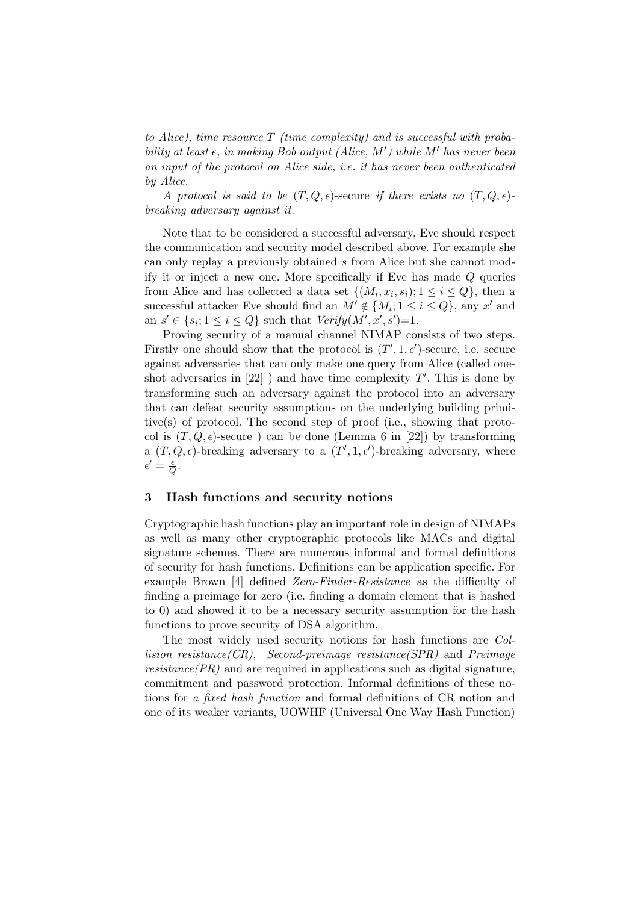to Alice), time resource  $T$  (time complexity) and is successful with probability at least  $\epsilon$ , in making Bob output (Alice, M') while M' has never been an input of the protocol on Alice side, i.e. it has never been authenticated by Alice.

A protocol is said to be  $(T, Q, \epsilon)$ -secure if there exists no  $(T, Q, \epsilon)$ breaking adversary against it.

Note that to be considered a successful adversary, Eve should respect the communication and security model described above. For example she can only replay a previously obtained s from Alice but she cannot modify it or inject a new one. More specifically if Eve has made Q queries from Alice and has collected a data set  $\{(M_i, x_i, s_i); 1 \leq i \leq Q\}$ , then a successful attacker Eve should find an  $M' \notin \{M_i; 1 \leq i \leq Q\}$ , any x' and an  $s' \in \{s_i; 1 \leq i \leq Q\}$  such that  $Verify(M', x', s')=1$ .

Proving security of a manual channel NIMAP consists of two steps. Firstly one should show that the protocol is  $(T', 1, \epsilon')$ -secure, i.e. secure against adversaries that can only make one query from Alice (called oneshot adversaries in  $[22]$ ) and have time complexity  $T'$ . This is done by transforming such an adversary against the protocol into an adversary that can defeat security assumptions on the underlying building primitive(s) of protocol. The second step of proof (i.e., showing that protocol is  $(T, Q, \epsilon)$ -secure) can be done (Lemma 6 in [22]) by transforming a  $(T, Q, \epsilon)$ -breaking adversary to a  $(T', 1, \epsilon')$ -breaking adversary, where  $\epsilon' = \frac{\epsilon}{C}$  $\frac{\epsilon}{Q}.$ 

# 3 Hash functions and security notions

Cryptographic hash functions play an important role in design of NIMAPs as well as many other cryptographic protocols like MACs and digital signature schemes. There are numerous informal and formal definitions of security for hash functions. Definitions can be application specific. For example Brown [4] defined Zero-Finder-Resistance as the difficulty of finding a preimage for zero (i.e. finding a domain element that is hashed to 0) and showed it to be a necessary security assumption for the hash functions to prove security of DSA algorithm.

The most widely used security notions for hash functions are Col*lision resistance*( $CR$ ), Second-preimage resistance( $SPR$ ) and Preimage  $resistance(PR)$  and are required in applications such as digital signature, commitment and password protection. Informal definitions of these notions for a fixed hash function and formal definitions of CR notion and one of its weaker variants, UOWHF (Universal One Way Hash Function)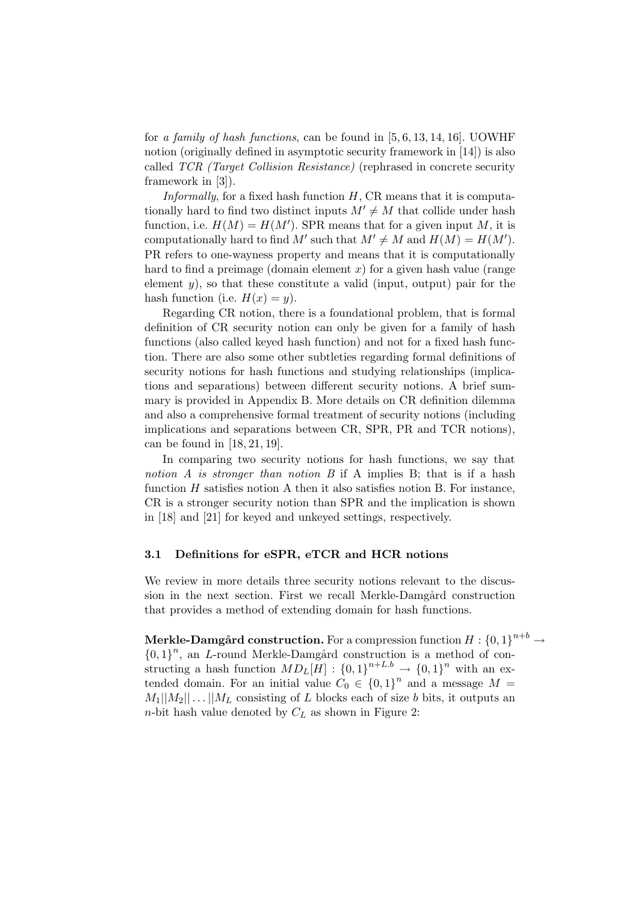for a family of hash functions, can be found in  $[5, 6, 13, 14, 16]$ . UOWHF notion (originally defined in asymptotic security framework in [14]) is also called TCR (Target Collision Resistance) (rephrased in concrete security framework in [3]).

Informally, for a fixed hash function  $H$ , CR means that it is computationally hard to find two distinct inputs  $M' \neq M$  that collide under hash function, i.e.  $H(M) = H(M')$ . SPR means that for a given input M, it is computationally hard to find  $M'$  such that  $M' \neq M$  and  $H(M) = H(M')$ . PR refers to one-wayness property and means that it is computationally hard to find a preimage (domain element  $x$ ) for a given hash value (range element  $y$ ), so that these constitute a valid (input, output) pair for the hash function (i.e.  $H(x) = y$ ).

Regarding CR notion, there is a foundational problem, that is formal definition of CR security notion can only be given for a family of hash functions (also called keyed hash function) and not for a fixed hash function. There are also some other subtleties regarding formal definitions of security notions for hash functions and studying relationships (implications and separations) between different security notions. A brief summary is provided in Appendix B. More details on CR definition dilemma and also a comprehensive formal treatment of security notions (including implications and separations between CR, SPR, PR and TCR notions), can be found in [18, 21, 19].

In comparing two security notions for hash functions, we say that notion A is stronger than notion B if A implies B; that is if a hash function  $H$  satisfies notion  $A$  then it also satisfies notion  $B$ . For instance, CR is a stronger security notion than SPR and the implication is shown in [18] and [21] for keyed and unkeyed settings, respectively.

#### 3.1 Definitions for eSPR, eTCR and HCR notions

We review in more details three security notions relevant to the discussion in the next section. First we recall Merkle-Damgård construction that provides a method of extending domain for hash functions.

 $\mathbf{Merkle\textbf{-}Damgård\ construction.}$  For a compression function  $H: \left\{0,1\right\}^{n+b} \rightarrow$  ${0,1}^n$ , an L-round Merkle-Damgård construction is a method of constructing a hash function  $MD_L[H] : \{0,1\}^{n+L.b} \rightarrow \{0,1\}^n$  with an extended domain. For an initial value  $C_0 \in \{0,1\}^n$  and a message  $M =$  $M_1||M_2||...||M_L$  consisting of L blocks each of size b bits, it outputs an *n*-bit hash value denoted by  $C_L$  as shown in Figure 2: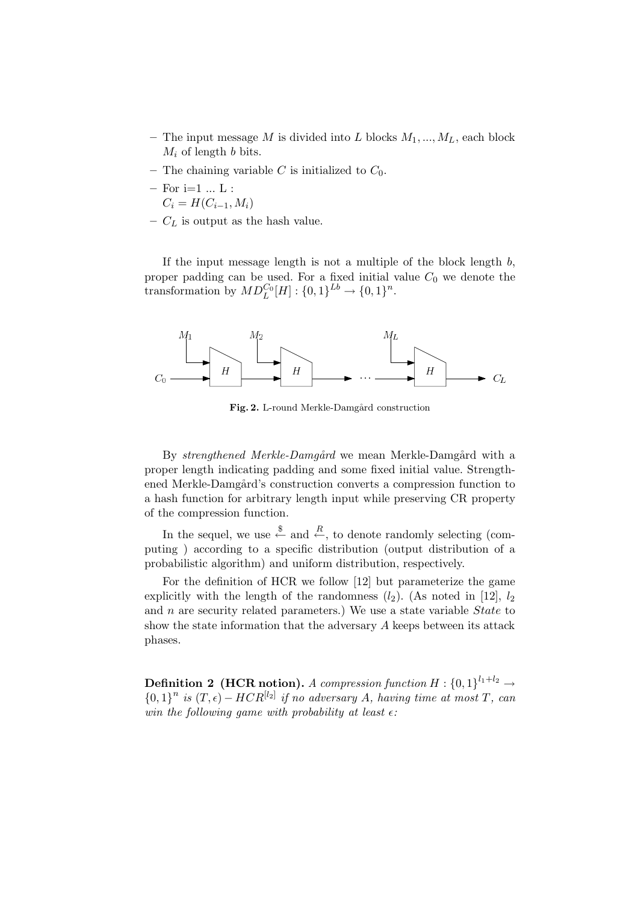- The input message M is divided into L blocks  $M_1, ..., M_L$ , each block  $M_i$  of length b bits.
- The chaining variable C is initialized to  $C_0$ .
- For i= $1 \dots L$  :  $C_i = H(C_{i-1}, M_i)$
- $C_L$  is output as the hash value.

If the input message length is not a multiple of the block length  $b$ , proper padding can be used. For a fixed initial value  $C_0$  we denote the transformation by  $MD_{L}^{C_0}[H] : \{0,1\}^{Lb} \rightarrow \{0,1\}^n$ .



Fig. 2. L-round Merkle-Damgård construction

By strengthened Merkle-Damgård we mean Merkle-Damgård with a proper length indicating padding and some fixed initial value. Strengthened Merkle-Damgård's construction converts a compression function to a hash function for arbitrary length input while preserving CR property of the compression function.

In the sequel, we use  $\stackrel{\$}{\leftarrow}$  and  $\stackrel{R}{\leftarrow}$ , to denote randomly selecting (computing ) according to a specific distribution (output distribution of a probabilistic algorithm) and uniform distribution, respectively.

For the definition of HCR we follow [12] but parameterize the game explicitly with the length of the randomness  $(l_2)$ . (As noted in [12],  $l_2$ and  $n$  are security related parameters.) We use a state variable *State* to show the state information that the adversary A keeps between its attack phases.

Definition 2 (HCR notion). A compression function  $H: \{0,1\}^{l_1+l_2} \rightarrow$  ${0,1}^n$  is  $(T,\epsilon) - HCR^{[l_2]}$  if no adversary A, having time at most T, can win the following game with probability at least  $\epsilon$ :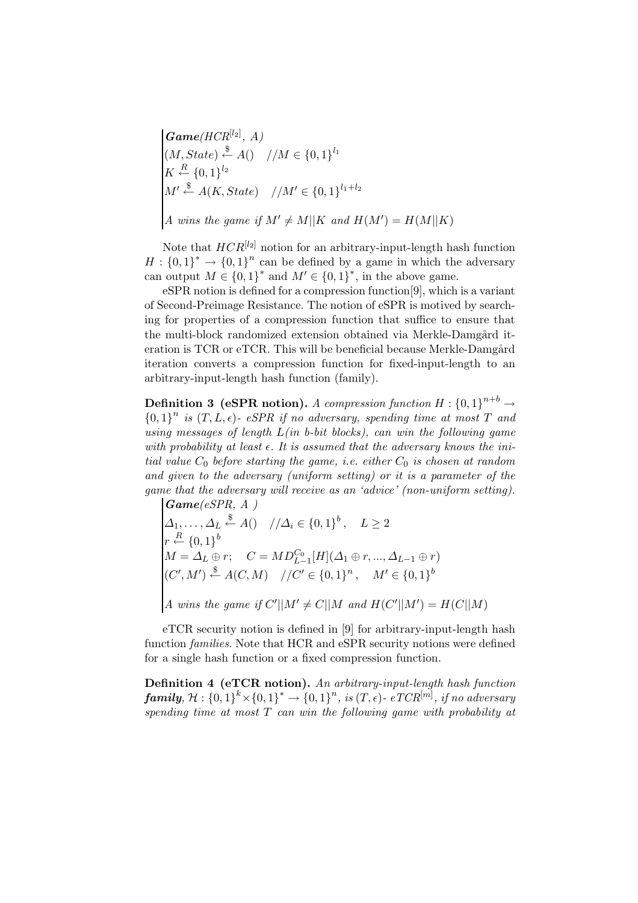$Game(HCR^{[l_2]}, A)$  $(M, State) \stackrel{\$}{\leftarrow} A()$  // $M \in \{0, 1\}^{l_1}$  $K \stackrel{R}{\leftarrow} \{0,1\}^{l_2}$  $M' \stackrel{\$}{\leftarrow} A(K, State) \quad //M' \in \{0,1\}^{l_1+l_2}$ A wins the game if  $M' \neq M||K$  and  $H(M') = H(M||K)$ 

Note that  $HCR^{[l_2]}$  notion for an arbitrary-input-length hash function  $H: \{0,1\}^* \to \{0,1\}^n$  can be defined by a game in which the adversary can output  $M \in \{0,1\}^*$  and  $M' \in \{0,1\}^*$ , in the above game.

eSPR notion is defined for a compression function[9], which is a variant of Second-Preimage Resistance. The notion of eSPR is motived by searching for properties of a compression function that suffice to ensure that the multi-block randomized extension obtained via Merkle-Damgård iteration is TCR or eTCR. This will be beneficial because Merkle-Damgård iteration converts a compression function for fixed-input-length to an arbitrary-input-length hash function (family).

Definition 3 (eSPR notion). A compression function  $H: \{0,1\}^{n+b} \rightarrow$  ${0,1}^n$  is  $(T, L, \epsilon)$ - eSPR if no adversary, spending time at most T and using messages of length  $L(in\,b\text{-}bit\,blocks)$ , can win the following game with probability at least  $\epsilon$ . It is assumed that the adversary knows the initial value  $C_0$  before starting the game, i.e. either  $C_0$  is chosen at random and given to the adversary (uniform setting) or it is a parameter of the game that the adversary will receive as an 'advice' (non-uniform setting).

 $Game(eSPR, A)$  $\Delta_1, \ldots, \Delta_L \stackrel{\$}{\leftarrow} A()$  // $\Delta_i \in \{0,1\}^b$ ,  $L \geq 2$  $r \stackrel{R}{\leftarrow} \{0,1\}^b$  $M = \Delta_L \oplus r$ ;  $C = MD_{L-1}^{C_0}[H](\Delta_1 \oplus r, ..., \Delta_{L-1} \oplus r)$  $(C', M') \stackrel{\$}{\leftarrow} A(C, M)$  // $C' \in \{0, 1\}^n$ ,  $M' \in \{0, 1\}^b$ A wins the game if  $C'||M' \neq C||M$  and  $H(C'||M') = H(C||M)$ 

eTCR security notion is defined in [9] for arbitrary-input-length hash function families. Note that HCR and eSPR security notions were defined for a single hash function or a fixed compression function.

Definition 4 (eTCR notion). An arbitrary-input-length hash function  $\pmb{family}, \mathcal{H}:\{0,1\}^k \!\times\! \{0,1\}^* \rightarrow \{0,1\}^n, \textit{ is }(T,\epsilon\text{)- }eTCR^{[m]},\textit{ if no adversary}$ spending time at most  $T$  can win the following game with probability at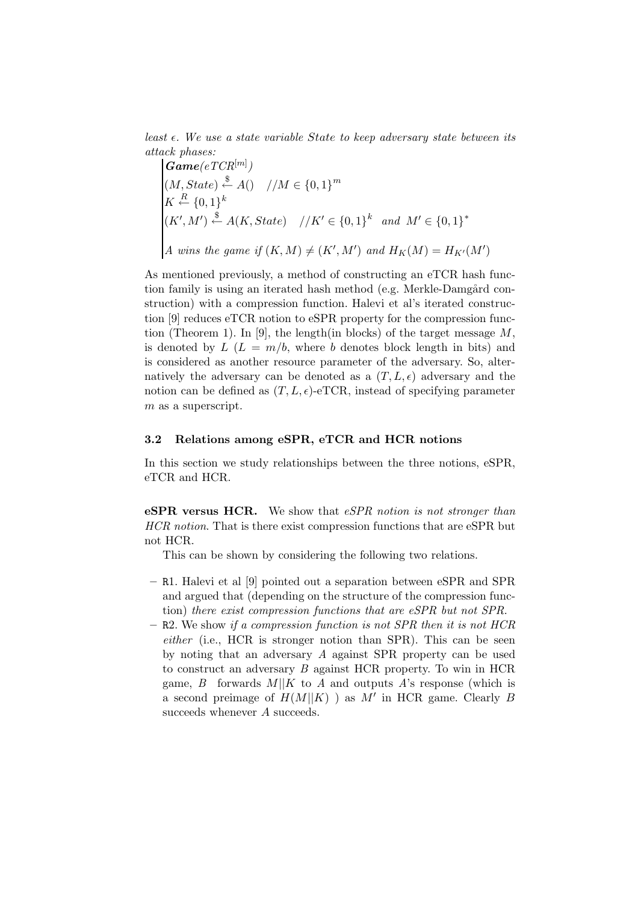least  $\epsilon$ . We use a state variable State to keep adversary state between its attack phases:

$$
Game(eTCR^{[m]})
$$
  
(M, State)  $\stackrel{\$}{\leftarrow} A() // M \in \{0, 1\}^m$   
K  $\stackrel{R}{\leftarrow} \{0, 1\}^k$   
(K', M')  $\stackrel{\$}{\leftarrow} A(K, State) // K' \in \{0, 1\}^k$  and M'  $\in \{0, 1\}^*$   
A wins the game if (K, M)  $\neq$  (K', M') and  $H_K(M) = H_{K'}(M')$ 

As mentioned previously, a method of constructing an eTCR hash function family is using an iterated hash method (e.g. Merkle-Damgård construction) with a compression function. Halevi et al's iterated construction [9] reduces eTCR notion to eSPR property for the compression function (Theorem 1). In [9], the length(in blocks) of the target message  $M$ , is denoted by  $L (L = m/b$ , where b denotes block length in bits) and is considered as another resource parameter of the adversary. So, alternatively the adversary can be denoted as a  $(T, L, \epsilon)$  adversary and the notion can be defined as  $(T, L, \epsilon)$ -eTCR, instead of specifying parameter  $m$  as a superscript.

# 3.2 Relations among eSPR, eTCR and HCR notions

In this section we study relationships between the three notions, eSPR, eTCR and HCR.

eSPR versus HCR. We show that eSPR notion is not stronger than HCR notion. That is there exist compression functions that are eSPR but not HCR.

This can be shown by considering the following two relations.

- R1. Halevi et al [9] pointed out a separation between eSPR and SPR and argued that (depending on the structure of the compression function) there exist compression functions that are eSPR but not SPR.
- $-$  R2. We show if a compression function is not SPR then it is not HCR either (i.e., HCR is stronger notion than SPR). This can be seen by noting that an adversary A against SPR property can be used to construct an adversary B against HCR property. To win in HCR game, B forwards  $M||K$  to A and outputs A's response (which is a second preimage of  $H(M||K)$  ) as M' in HCR game. Clearly B succeeds whenever A succeeds.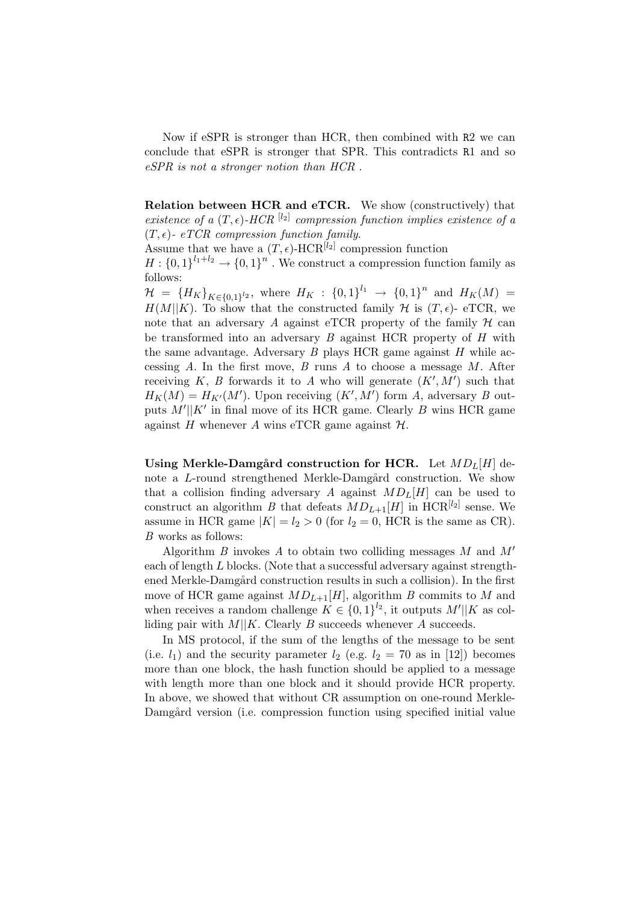Now if eSPR is stronger than HCR, then combined with R2 we can conclude that eSPR is stronger that SPR. This contradicts R1 and so eSPR is not a stronger notion than HCR .

Relation between HCR and eTCR. We show (constructively) that existence of a  $(T, \epsilon)$ -HCR  $^{[l_2]}$  compression function implies existence of a  $(T, \epsilon)$ - eTCR compression function family.

Assume that we have a  $(T, \epsilon)$ -HCR<sup>[l<sub>2</sub>]</sup> compression function

 $H: \{0,1\}^{l_1+l_2} \to \{0,1\}^n$ . We construct a compression function family as follows:

 $\mathcal{H} = \{H_K\}_{K \in \{0,1\}^{l_2}},$  where  $H_K : \{0,1\}^{l_1} \to \{0,1\}^n$  and  $H_K(M) =$  $H(M||K)$ . To show that the constructed family  $H$  is  $(T, \epsilon)$ - eTCR, we note that an adversary A against eTCR property of the family  $H$  can be transformed into an adversary  $B$  against HCR property of  $H$  with the same advantage. Adversary  $B$  plays HCR game against  $H$  while accessing A. In the first move,  $B$  runs  $A$  to choose a message  $M$ . After receiving K, B forwards it to A who will generate  $(K', M')$  such that  $H_K(M) = H_{K'}(M')$ . Upon receiving  $(K', M')$  form A, adversary B outputs  $M'$ ||K' in final move of its HCR game. Clearly B wins HCR game against H whenever A wins eTCR game against  $H$ .

Using Merkle-Damgård construction for HCR. Let  $MD_L[H]$  denote a L-round strengthened Merkle-Damgård construction. We show that a collision finding adversary A against  $MD<sub>L</sub>[H]$  can be used to construct an algorithm B that defeats  $MD_{L+1}[H]$  in HCR<sup>[l<sub>2</sub>]</sup> sense. We assume in HCR game  $|K| = l_2 > 0$  (for  $l_2 = 0$ , HCR is the same as CR). B works as follows:

Algorithm  $B$  invokes  $A$  to obtain two colliding messages  $M$  and  $M'$ each of length L blocks. (Note that a successful adversary against strengthened Merkle-Damgård construction results in such a collision). In the first move of HCR game against  $MD_{L+1}[H]$ , algorithm B commits to M and when receives a random challenge  $K \in \{0,1\}^{l_2}$ , it outputs  $M' || K$  as colliding pair with  $M||K$ . Clearly B succeeds whenever A succeeds.

In MS protocol, if the sum of the lengths of the message to be sent (i.e.  $l_1$ ) and the security parameter  $l_2$  (e.g.  $l_2 = 70$  as in [12]) becomes more than one block, the hash function should be applied to a message with length more than one block and it should provide HCR property. In above, we showed that without CR assumption on one-round Merkle-Damgård version (i.e. compression function using specified initial value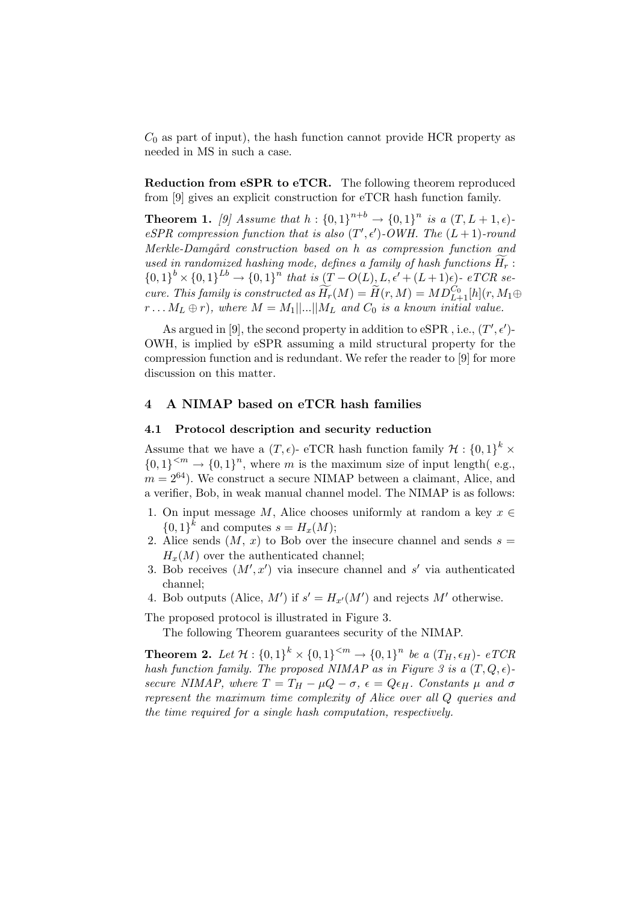$C_0$  as part of input), the hash function cannot provide HCR property as needed in MS in such a case.

Reduction from eSPR to eTCR. The following theorem reproduced from [9] gives an explicit construction for eTCR hash function family.

**Theorem 1.** [9] Assume that  $h: \{0,1\}^{n+b} \rightarrow \{0,1\}^n$  is a  $(T, L+1, \epsilon)$ eSPR compression function that is also  $(T', \epsilon')$ -OWH. The  $(L + 1)$ -round Merkle-Damgård construction based on h as compression function and used in randomized hashing mode, defines a family of hash functions  $\widetilde{H_r}$ :  ${0,1}^b \times {0,1}^{Lb} \rightarrow {0,1}^{\bar{n}}$  that is  $(T - O(L), L, \epsilon' + (L+1)\epsilon)$ - eTCR secure. This family is constructed as  $\widetilde{H}_r(M) = \widetilde{H}(r, M) = MD_{L+1}^{C_0}[h](r, M_1 \oplus$  $r \ldots M_L \oplus r$ , where  $M = M_1 \ldots \mid M_L$  and  $C_0$  is a known initial value.

As argued in [9], the second property in addition to eSPR, i.e.,  $(T', \epsilon')$ -OWH, is implied by eSPR assuming a mild structural property for the compression function and is redundant. We refer the reader to [9] for more discussion on this matter.

# 4 A NIMAP based on eTCR hash families

# 4.1 Protocol description and security reduction

Assume that we have a  $(T, \epsilon)$ - eTCR hash function family  $\mathcal{H}: \{0,1\}^k \times$  ${0,1}^{m} \rightarrow {0,1}^{n}$ , where m is the maximum size of input length(e.g.,  $m = 2<sup>64</sup>$ . We construct a secure NIMAP between a claimant, Alice, and a verifier, Bob, in weak manual channel model. The NIMAP is as follows:

- 1. On input message M, Alice chooses uniformly at random a key  $x \in$  ${0,1}^{\overline{k}}$  and computes  $s = H_x(M);$
- 2. Alice sends  $(M, x)$  to Bob over the insecure channel and sends  $s =$  $H_x(M)$  over the authenticated channel;
- 3. Bob receives  $(M', x')$  via insecure channel and s' via authenticated channel;
- 4. Bob outputs (Alice,  $M'$ ) if  $s' = H_{x'}(M')$  and rejects  $M'$  otherwise.

The proposed protocol is illustrated in Figure 3.

The following Theorem guarantees security of the NIMAP.

**Theorem 2.** Let  $\mathcal{H} : \{0,1\}^k \times \{0,1\}^{< m} \to \{0,1\}^n$  be a  $(T_H, \epsilon_H)$ - eTCR hash function family. The proposed NIMAP as in Figure 3 is a  $(T, Q, \epsilon)$ secure NIMAP, where  $T = T_H - \mu Q - \sigma$ ,  $\epsilon = Q \epsilon_H$ . Constants  $\mu$  and  $\sigma$ represent the maximum time complexity of Alice over all Q queries and the time required for a single hash computation, respectively.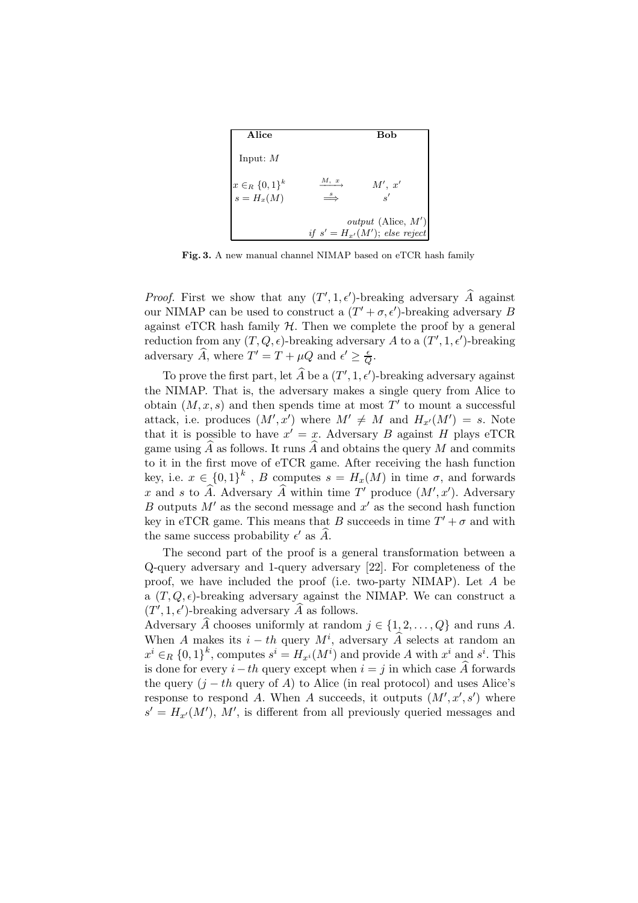| Alice                               |                                                                    | <b>B</b> ob         |
|-------------------------------------|--------------------------------------------------------------------|---------------------|
| Input: $M$                          |                                                                    |                     |
| $x \in_R \{0,1\}^k$<br>$s = H_x(M)$ | M, x                                                               | $\frac{M', x'}{s'}$ |
|                                     | <i>output</i> (Alice, $M'$ )<br>if $s' = H_{x'}(M')$ ; else reject |                     |

Fig. 3. A new manual channel NIMAP based on eTCR hash family

*Proof.* First we show that any  $(T', 1, \epsilon')$ -breaking adversary  $\widehat{A}$  against our NIMAP can be used to construct a  $(T' + \sigma, \epsilon')$ -breaking adversary B against eTCR hash family  $H$ . Then we complete the proof by a general reduction from any  $(T, Q, \epsilon)$ -breaking adversary A to a  $(T', 1, \epsilon')$ -breaking adversary  $\widehat{A}$ , where  $T' = T + \mu Q$  and  $\epsilon' \geq \frac{\epsilon}{C}$  $\frac{\epsilon}{Q}$  .

To prove the first part, let  $\widehat{A}$  be a  $(T', 1, \epsilon')$ -breaking adversary against the NIMAP. That is, the adversary makes a single query from Alice to obtain  $(M, x, s)$  and then spends time at most T' to mount a successful attack, i.e. produces  $(M', x')$  where  $M' \neq M$  and  $H_{x'}(M') = s$ . Note that it is possible to have  $x' = x$ . Adversary B against H plays eTCR game using  $A$  as follows. It runs  $A$  and obtains the query  $M$  and commits to it in the first move of eTCR game. After receiving the hash function key, i.e.  $x \in \{0,1\}^k$ , B computes  $s = H_x(M)$  in time  $\sigma$ , and forwards x and s to  $\hat{A}$ . Adversary  $\hat{A}$  within time T' produce  $(M', x')$ . Adversary B outputs  $M'$  as the second message and  $x'$  as the second hash function key in eTCR game. This means that B succeeds in time  $T' + \sigma$  and with the same success probability  $\epsilon'$  as  $\hat{A}$ .

The second part of the proof is a general transformation between a Q-query adversary and 1-query adversary [22]. For completeness of the proof, we have included the proof (i.e. two-party NIMAP). Let A be a  $(T, Q, \epsilon)$ -breaking adversary against the NIMAP. We can construct a  $(T', 1, \epsilon')$ -breaking adversary  $\hat{A}$  as follows.

Adversary  $\widehat{A}$  chooses uniformly at random  $j \in \{1, 2, \ldots, Q\}$  and runs A. When A makes its  $i - th$  query  $M^i$ , adversary  $\overrightarrow{A}$  selects at random and  $x^i \in_R \{0,1\}^k$ , computes  $s^i = H_{x^i}(M^i)$  and provide A with  $x^i$  and  $s^i$ . This is done for every  $i-th$  query except when  $i = j$  in which case  $\widehat{A}$  forwards the query  $(j - th$  query of A) to Alice (in real protocol) and uses Alice's response to respond A. When A succeeds, it outputs  $(M', x', s')$  where  $s' = H_{x'}(M')$ , M', is different from all previously queried messages and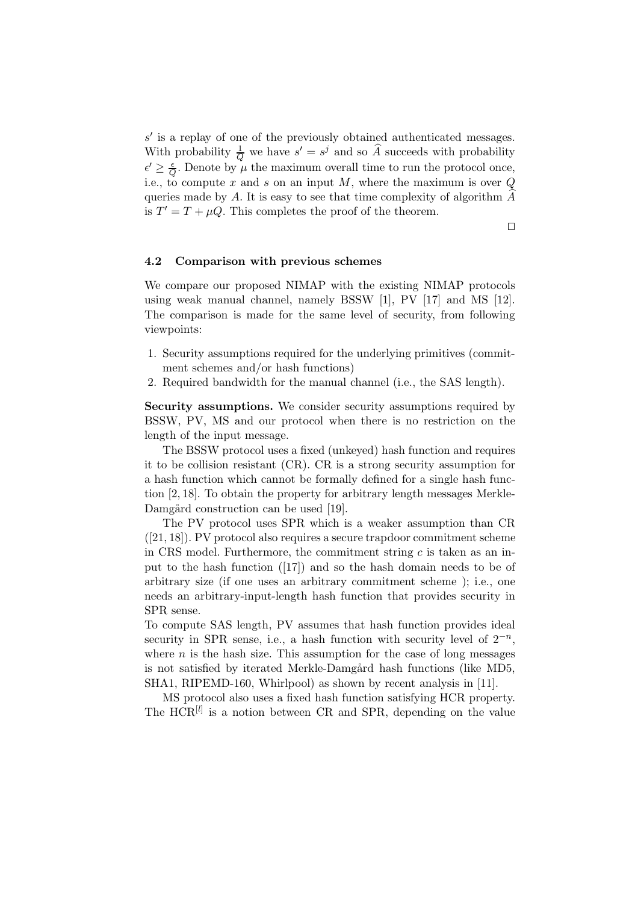s ′ is a replay of one of the previously obtained authenticated messages. With probability  $\frac{1}{Q}$  we have  $s' = s^j$  and so  $\hat{A}$  succeeds with probability  $\epsilon' \geq \frac{\epsilon}{Q}$ . Denote by  $\mu$  the maximum overall time to run the protocol once, i.e., to compute x and s on an input M, where the maximum is over  $Q$ queries made by  $A$ . It is easy to see that time complexity of algorithm  $\overline{A}$ is  $T' = T + \mu Q$ . This completes the proof of the theorem.

⊓⊔

#### 4.2 Comparison with previous schemes

We compare our proposed NIMAP with the existing NIMAP protocols using weak manual channel, namely BSSW [1], PV [17] and MS [12]. The comparison is made for the same level of security, from following viewpoints:

- 1. Security assumptions required for the underlying primitives (commitment schemes and/or hash functions)
- 2. Required bandwidth for the manual channel (i.e., the SAS length).

Security assumptions. We consider security assumptions required by BSSW, PV, MS and our protocol when there is no restriction on the length of the input message.

The BSSW protocol uses a fixed (unkeyed) hash function and requires it to be collision resistant (CR). CR is a strong security assumption for a hash function which cannot be formally defined for a single hash function [2, 18]. To obtain the property for arbitrary length messages Merkle-Damgård construction can be used [19].

The PV protocol uses SPR which is a weaker assumption than CR  $([21, 18])$ . PV protocol also requires a secure trapdoor commitment scheme in CRS model. Furthermore, the commitment string  $c$  is taken as an input to the hash function ([17]) and so the hash domain needs to be of arbitrary size (if one uses an arbitrary commitment scheme ); i.e., one needs an arbitrary-input-length hash function that provides security in SPR sense.

To compute SAS length, PV assumes that hash function provides ideal security in SPR sense, i.e., a hash function with security level of  $2^{-n}$ , where  $n$  is the hash size. This assumption for the case of long messages is not satisfied by iterated Merkle-Damgård hash functions (like MD5, SHA1, RIPEMD-160, Whirlpool) as shown by recent analysis in [11].

MS protocol also uses a fixed hash function satisfying HCR property. The  $HCR^{[l]}$  is a notion between CR and SPR, depending on the value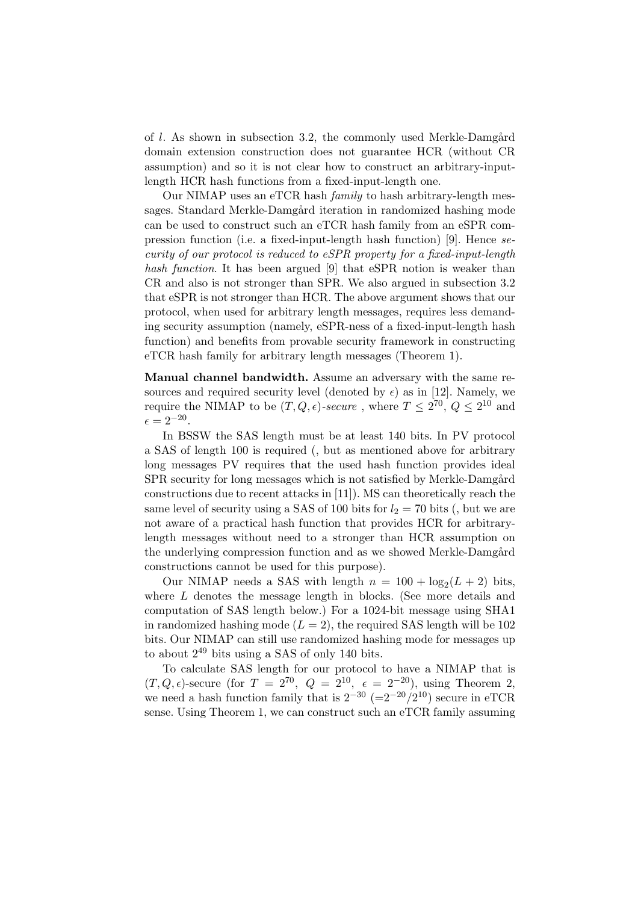of l. As shown in subsection 3.2, the commonly used Merkle-Damgård domain extension construction does not guarantee HCR (without CR assumption) and so it is not clear how to construct an arbitrary-inputlength HCR hash functions from a fixed-input-length one.

Our NIMAP uses an eTCR hash family to hash arbitrary-length messages. Standard Merkle-Damgård iteration in randomized hashing mode can be used to construct such an eTCR hash family from an eSPR compression function (i.e. a fixed-input-length hash function) [9]. Hence security of our protocol is reduced to eSPR property for a fixed-input-length hash function. It has been argued [9] that eSPR notion is weaker than CR and also is not stronger than SPR. We also argued in subsection 3.2 that eSPR is not stronger than HCR. The above argument shows that our protocol, when used for arbitrary length messages, requires less demanding security assumption (namely, eSPR-ness of a fixed-input-length hash function) and benefits from provable security framework in constructing eTCR hash family for arbitrary length messages (Theorem 1).

Manual channel bandwidth. Assume an adversary with the same resources and required security level (denoted by  $\epsilon$ ) as in [12]. Namely, we require the NIMAP to be  $(T, Q, \epsilon)$ -secure, where  $T \leq 2^{70}$ ,  $Q \leq 2^{10}$  and  $\epsilon = 2^{-20}.$ 

In BSSW the SAS length must be at least 140 bits. In PV protocol a SAS of length 100 is required (, but as mentioned above for arbitrary long messages PV requires that the used hash function provides ideal SPR security for long messages which is not satisfied by Merkle-Damgård constructions due to recent attacks in [11]). MS can theoretically reach the same level of security using a SAS of 100 bits for  $l_2 = 70$  bits (, but we are not aware of a practical hash function that provides HCR for arbitrarylength messages without need to a stronger than HCR assumption on the underlying compression function and as we showed Merkle-Damgård constructions cannot be used for this purpose).

Our NIMAP needs a SAS with length  $n = 100 + \log_2(L + 2)$  bits, where L denotes the message length in blocks. (See more details and computation of SAS length below.) For a 1024-bit message using SHA1 in randomized hashing mode  $(L = 2)$ , the required SAS length will be 102 bits. Our NIMAP can still use randomized hashing mode for messages up to about  $2^{49}$  bits using a SAS of only 140 bits.

To calculate SAS length for our protocol to have a NIMAP that is  $(T, Q, \epsilon)$ -secure (for  $T = 2^{70}$ ,  $Q = 2^{10}$ ,  $\epsilon = 2^{-20}$ ), using Theorem 2, we need a hash function family that is  $2^{-30}$  (= $2^{-20}/2^{10}$ ) secure in eTCR sense. Using Theorem 1, we can construct such an eTCR family assuming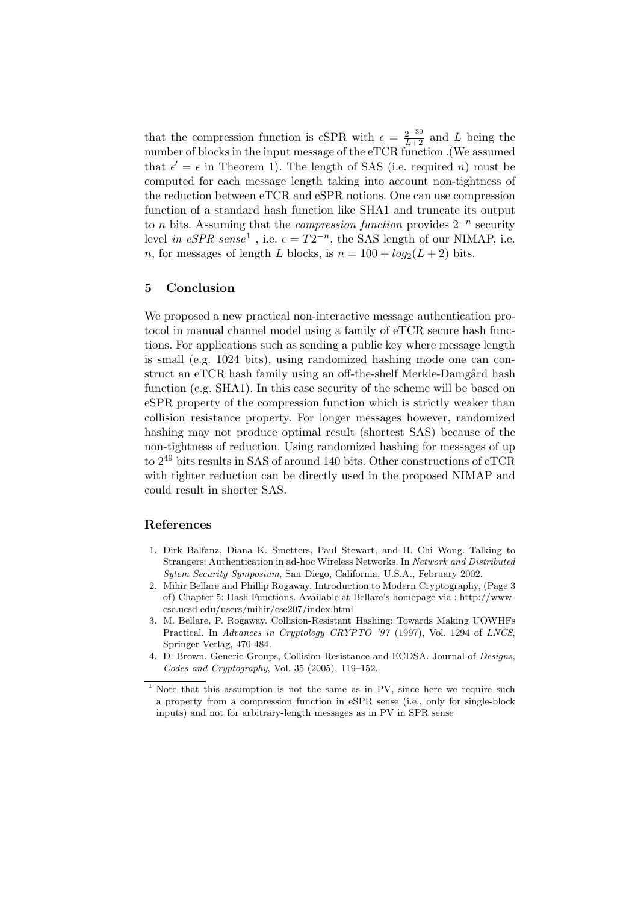that the compression function is eSPR with  $\epsilon = \frac{2^{-30}}{L+2}$  and L being the number of blocks in the input message of the eTCR function .(We assumed that  $\epsilon' = \epsilon$  in Theorem 1). The length of SAS (i.e. required *n*) must be computed for each message length taking into account non-tightness of the reduction between eTCR and eSPR notions. One can use compression function of a standard hash function like SHA1 and truncate its output to *n* bits. Assuming that the *compression function* provides  $2^{-n}$  security level in eSPR sense<sup>1</sup>, i.e.  $\epsilon = T2^{-n}$ , the SAS length of our NIMAP, i.e. n, for messages of length L blocks, is  $n = 100 + log_2(L + 2)$  bits.

# 5 Conclusion

We proposed a new practical non-interactive message authentication protocol in manual channel model using a family of eTCR secure hash functions. For applications such as sending a public key where message length is small (e.g. 1024 bits), using randomized hashing mode one can construct an eTCR hash family using an off-the-shelf Merkle-Damgård hash function (e.g. SHA1). In this case security of the scheme will be based on eSPR property of the compression function which is strictly weaker than collision resistance property. For longer messages however, randomized hashing may not produce optimal result (shortest SAS) because of the non-tightness of reduction. Using randomized hashing for messages of up to 2<sup>49</sup> bits results in SAS of around 140 bits. Other constructions of eTCR with tighter reduction can be directly used in the proposed NIMAP and could result in shorter SAS.

# References

- 1. Dirk Balfanz, Diana K. Smetters, Paul Stewart, and H. Chi Wong. Talking to Strangers: Authentication in ad-hoc Wireless Networks. In Network and Distributed Sytem Security Symposium, San Diego, California, U.S.A., February 2002.
- 2. Mihir Bellare and Phillip Rogaway. Introduction to Modern Cryptography, (Page 3 of) Chapter 5: Hash Functions. Available at Bellare's homepage via : http://wwwcse.ucsd.edu/users/mihir/cse207/index.html
- 3. M. Bellare, P. Rogaway. Collision-Resistant Hashing: Towards Making UOWHFs Practical. In Advances in Cryptology–CRYPTO '97 (1997), Vol. 1294 of LNCS, Springer-Verlag, 470-484.
- 4. D. Brown. Generic Groups, Collision Resistance and ECDSA. Journal of Designs, Codes and Cryptography, Vol. 35 (2005), 119–152.

 $1$  Note that this assumption is not the same as in PV, since here we require such a property from a compression function in eSPR sense (i.e., only for single-block inputs) and not for arbitrary-length messages as in PV in SPR sense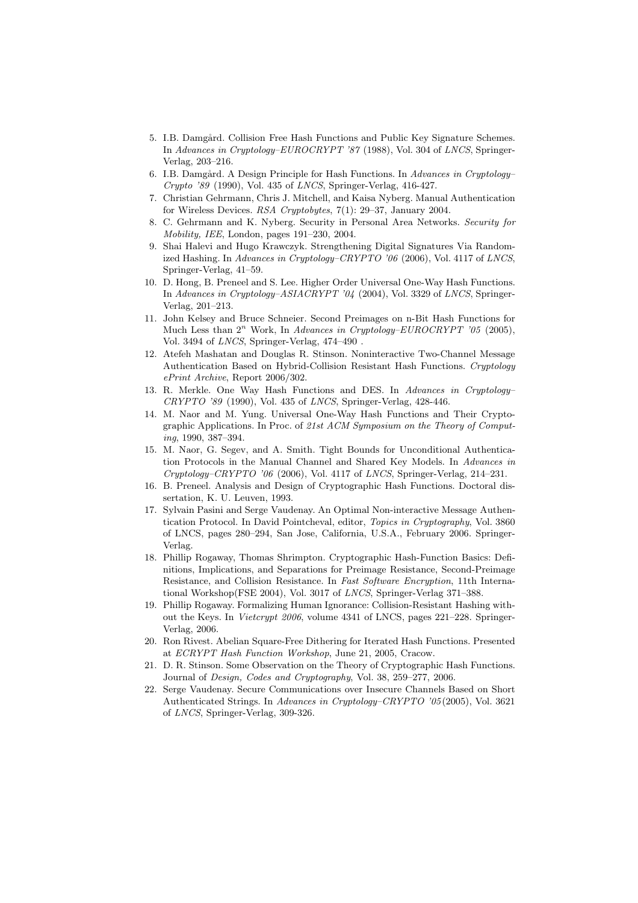- 5. I.B. Damgård. Collision Free Hash Functions and Public Key Signature Schemes. In Advances in Cryptology–EUROCRYPT '87 (1988), Vol. 304 of LNCS, Springer-Verlag, 203–216.
- 6. I.B. Damgård. A Design Principle for Hash Functions. In Advances in Cryptology– Crypto '89 (1990), Vol. 435 of LNCS, Springer-Verlag, 416-427.
- 7. Christian Gehrmann, Chris J. Mitchell, and Kaisa Nyberg. Manual Authentication for Wireless Devices. RSA Cryptobytes, 7(1): 29–37, January 2004.
- 8. C. Gehrmann and K. Nyberg. Security in Personal Area Networks. Security for Mobility, IEE, London, pages 191–230, 2004.
- 9. Shai Halevi and Hugo Krawczyk. Strengthening Digital Signatures Via Randomized Hashing. In Advances in Cryptology–CRYPTO '06 (2006), Vol. 4117 of LNCS, Springer-Verlag, 41–59.
- 10. D. Hong, B. Preneel and S. Lee. Higher Order Universal One-Way Hash Functions. In Advances in Cryptology–ASIACRYPT '04 (2004), Vol. 3329 of LNCS, Springer-Verlag, 201–213.
- 11. John Kelsey and Bruce Schneier. Second Preimages on n-Bit Hash Functions for Much Less than  $2^n$  Work, In Advances in Cryptology–EUROCRYPT '05 (2005), Vol. 3494 of LNCS, Springer-Verlag, 474–490 .
- 12. Atefeh Mashatan and Douglas R. Stinson. Noninteractive Two-Channel Message Authentication Based on Hybrid-Collision Resistant Hash Functions. Cryptology ePrint Archive, Report 2006/302.
- 13. R. Merkle. One Way Hash Functions and DES. In Advances in Cryptology– CRYPTO '89 (1990), Vol. 435 of LNCS, Springer-Verlag, 428-446.
- 14. M. Naor and M. Yung. Universal One-Way Hash Functions and Their Cryptographic Applications. In Proc. of 21st ACM Symposium on the Theory of Computing, 1990, 387–394.
- 15. M. Naor, G. Segev, and A. Smith. Tight Bounds for Unconditional Authentication Protocols in the Manual Channel and Shared Key Models. In Advances in Cryptology–CRYPTO '06 (2006), Vol. 4117 of LNCS, Springer-Verlag, 214–231.
- 16. B. Preneel. Analysis and Design of Cryptographic Hash Functions. Doctoral dissertation, K. U. Leuven, 1993.
- 17. Sylvain Pasini and Serge Vaudenay. An Optimal Non-interactive Message Authentication Protocol. In David Pointcheval, editor, Topics in Cryptography, Vol. 3860 of LNCS, pages 280–294, San Jose, California, U.S.A., February 2006. Springer-Verlag.
- 18. Phillip Rogaway, Thomas Shrimpton. Cryptographic Hash-Function Basics: Definitions, Implications, and Separations for Preimage Resistance, Second-Preimage Resistance, and Collision Resistance. In Fast Software Encryption, 11th International Workshop(FSE 2004), Vol. 3017 of LNCS, Springer-Verlag 371–388.
- 19. Phillip Rogaway. Formalizing Human Ignorance: Collision-Resistant Hashing without the Keys. In Vietcrypt 2006, volume 4341 of LNCS, pages 221–228. Springer-Verlag, 2006.
- 20. Ron Rivest. Abelian Square-Free Dithering for Iterated Hash Functions. Presented at ECRYPT Hash Function Workshop, June 21, 2005, Cracow.
- 21. D. R. Stinson. Some Observation on the Theory of Cryptographic Hash Functions. Journal of Design, Codes and Cryptography, Vol. 38, 259–277, 2006.
- 22. Serge Vaudenay. Secure Communications over Insecure Channels Based on Short Authenticated Strings. In Advances in Cryptology–CRYPTO '05(2005), Vol. 3621 of LNCS, Springer-Verlag, 309-326.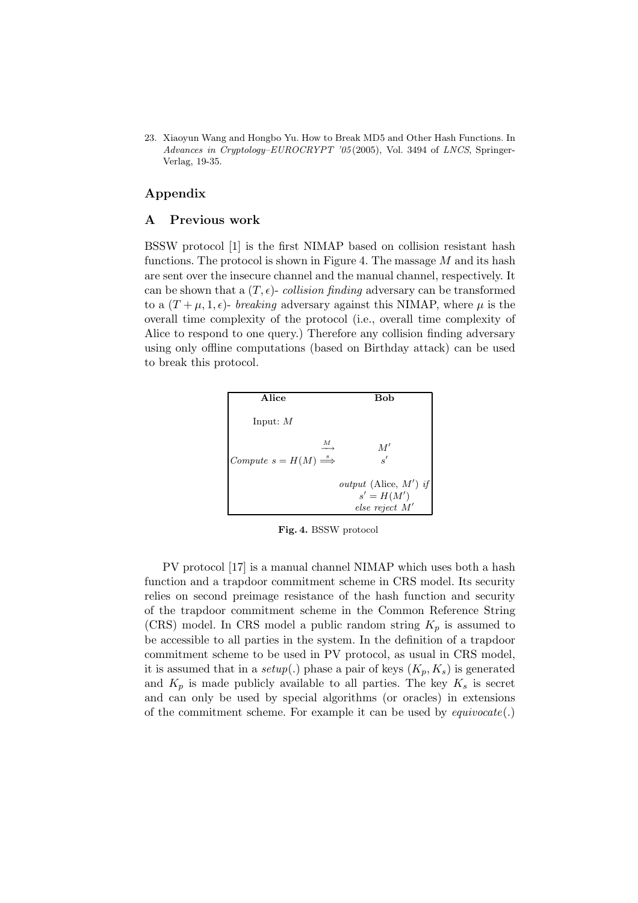23. Xiaoyun Wang and Hongbo Yu. How to Break MD5 and Other Hash Functions. In Advances in Cryptology–EUROCRYPT '05(2005), Vol. 3494 of LNCS, Springer-Verlag, 19-35.

# Appendix

## A Previous work

BSSW protocol [1] is the first NIMAP based on collision resistant hash functions. The protocol is shown in Figure 4. The massage  $M$  and its hash are sent over the insecure channel and the manual channel, respectively. It can be shown that a  $(T, \epsilon)$ - collision finding adversary can be transformed to a  $(T + \mu, 1, \epsilon)$ - *breaking* adversary against this NIMAP, where  $\mu$  is the overall time complexity of the protocol (i.e., overall time complexity of Alice to respond to one query.) Therefore any collision finding adversary using only offline computations (based on Birthday attack) can be used to break this protocol.

| Alice                                                 | Bob                                                                 |
|-------------------------------------------------------|---------------------------------------------------------------------|
| Input: $M$                                            |                                                                     |
| М<br>Compute $s = H(M) \stackrel{s}{\Longrightarrow}$ | M'<br>s'                                                            |
|                                                       | <i>output</i> (Alice, $M'$ ) if<br>$s' = H(M')$<br>else reject $M'$ |

Fig. 4. BSSW protocol

PV protocol [17] is a manual channel NIMAP which uses both a hash function and a trapdoor commitment scheme in CRS model. Its security relies on second preimage resistance of the hash function and security of the trapdoor commitment scheme in the Common Reference String (CRS) model. In CRS model a public random string  $K_p$  is assumed to be accessible to all parties in the system. In the definition of a trapdoor commitment scheme to be used in PV protocol, as usual in CRS model, it is assumed that in a setup(.) phase a pair of keys  $(K_p, K_s)$  is generated and  $K_p$  is made publicly available to all parties. The key  $K_s$  is secret and can only be used by special algorithms (or oracles) in extensions of the commitment scheme. For example it can be used by  $\mathit{equivocate}(.)$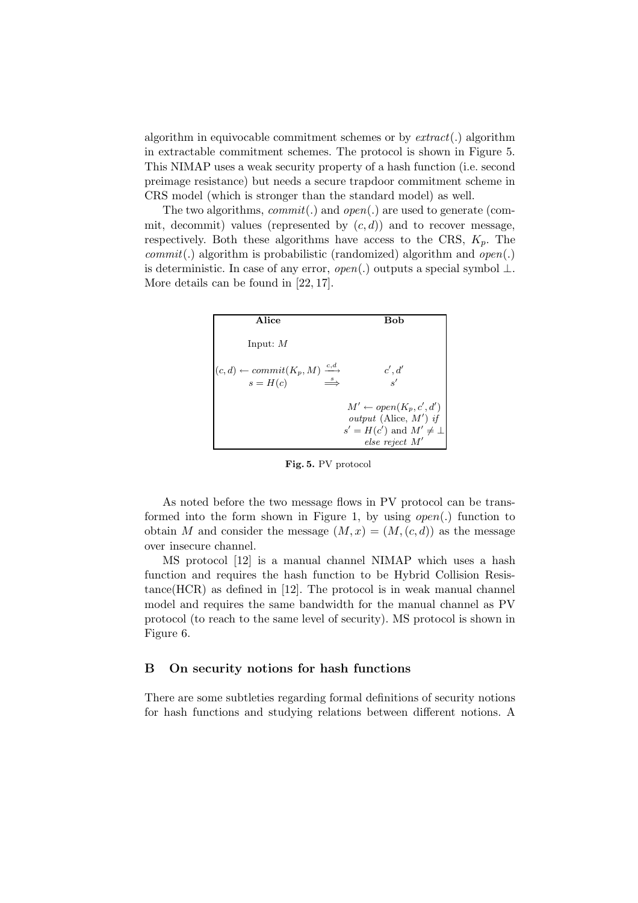algorithm in equivocable commitment schemes or by  $extract(.)$  algorithm in extractable commitment schemes. The protocol is shown in Figure 5. This NIMAP uses a weak security property of a hash function (i.e. second preimage resistance) but needs a secure trapdoor commitment scheme in CRS model (which is stronger than the standard model) as well.

The two algorithms,  $commit(.)$  and  $open(.)$  are used to generate (commit, decommit) values (represented by  $(c, d)$ ) and to recover message, respectively. Both these algorithms have access to the CRS,  $K_p$ . The  $commit(.)$  algorithm is probabilistic (randomized) algorithm and  $open(.)$ is deterministic. In case of any error,  $open(.)$  outputs a special symbol  $\bot$ . More details can be found in [22, 17].



Fig. 5. PV protocol

As noted before the two message flows in PV protocol can be transformed into the form shown in Figure 1, by using  $open(.)$  function to obtain M and consider the message  $(M, x) = (M, (c, d))$  as the message over insecure channel.

MS protocol [12] is a manual channel NIMAP which uses a hash function and requires the hash function to be Hybrid Collision Resistance(HCR) as defined in [12]. The protocol is in weak manual channel model and requires the same bandwidth for the manual channel as PV protocol (to reach to the same level of security). MS protocol is shown in Figure 6.

# B On security notions for hash functions

There are some subtleties regarding formal definitions of security notions for hash functions and studying relations between different notions. A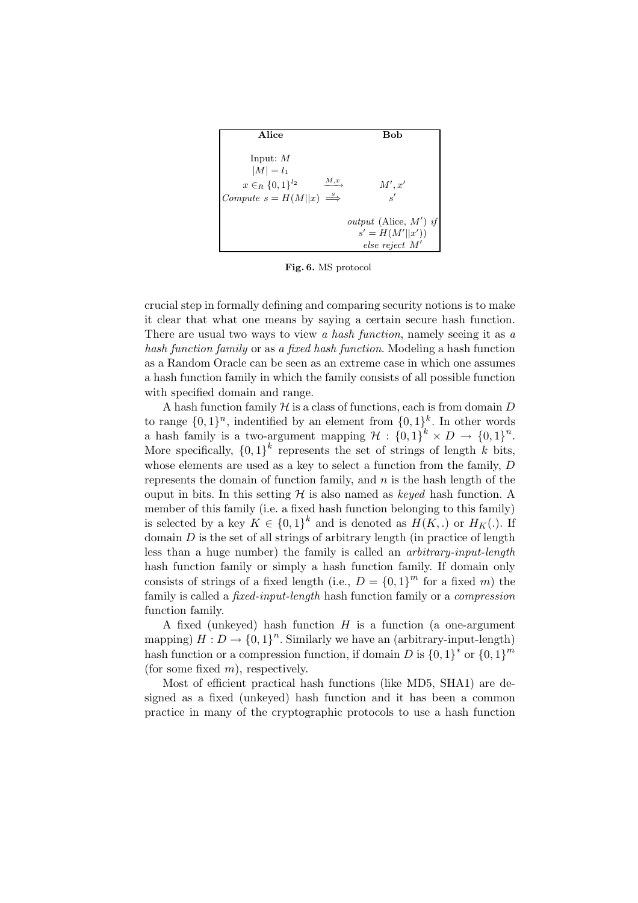| Alice                                                                           | Bob                                                 |
|---------------------------------------------------------------------------------|-----------------------------------------------------|
| Input: $M$<br>$ M  = l_1$                                                       |                                                     |
| M, x<br>$x \in_R \{0,1\}^{l_2}$<br>Compute $s = H(M  x) \stackrel{s}{\implies}$ | M', x'<br>s'                                        |
|                                                                                 | <i>output</i> (Alice, $M'$ ) if<br>$s' = H(M'  x')$ |
|                                                                                 | else reject $M'$                                    |

Fig. 6. MS protocol

crucial step in formally defining and comparing security notions is to make it clear that what one means by saying a certain secure hash function. There are usual two ways to view a hash function, namely seeing it as a hash function family or as a fixed hash function. Modeling a hash function as a Random Oracle can be seen as an extreme case in which one assumes a hash function family in which the family consists of all possible function with specified domain and range.

A hash function family  $H$  is a class of functions, each is from domain  $D$ to range  $\{0,1\}^n$ , indentified by an element from  $\{0,1\}^k$ . In other words a hash family is a two-argument mapping  $\mathcal{H}: \{0,1\}^k \times D \to \{0,1\}^n$ . More specifically,  $\{0,1\}^k$  represents the set of strings of length k bits, whose elements are used as a key to select a function from the family, D represents the domain of function family, and  $n$  is the hash length of the ouput in bits. In this setting  $H$  is also named as *keyed* hash function. A member of this family (i.e. a fixed hash function belonging to this family) is selected by a key  $K \in \{0,1\}^k$  and is denoted as  $H(K,.)$  or  $H_K(.)$ . If domain  $D$  is the set of all strings of arbitrary length (in practice of length less than a huge number) the family is called an arbitrary-input-length hash function family or simply a hash function family. If domain only consists of strings of a fixed length (i.e.,  $D = \{0, 1\}^m$  for a fixed m) the family is called a *fixed-input-length* hash function family or a *compression* function family.

A fixed (unkeyed) hash function  $H$  is a function (a one-argument mapping)  $H: D \to \{0,1\}^n$ . Similarly we have an (arbitrary-input-length) hash function or a compression function, if domain D is  ${0,1}^*$  or  ${0,1}^m$ (for some fixed  $m$ ), respectively.

Most of efficient practical hash functions (like MD5, SHA1) are designed as a fixed (unkeyed) hash function and it has been a common practice in many of the cryptographic protocols to use a hash function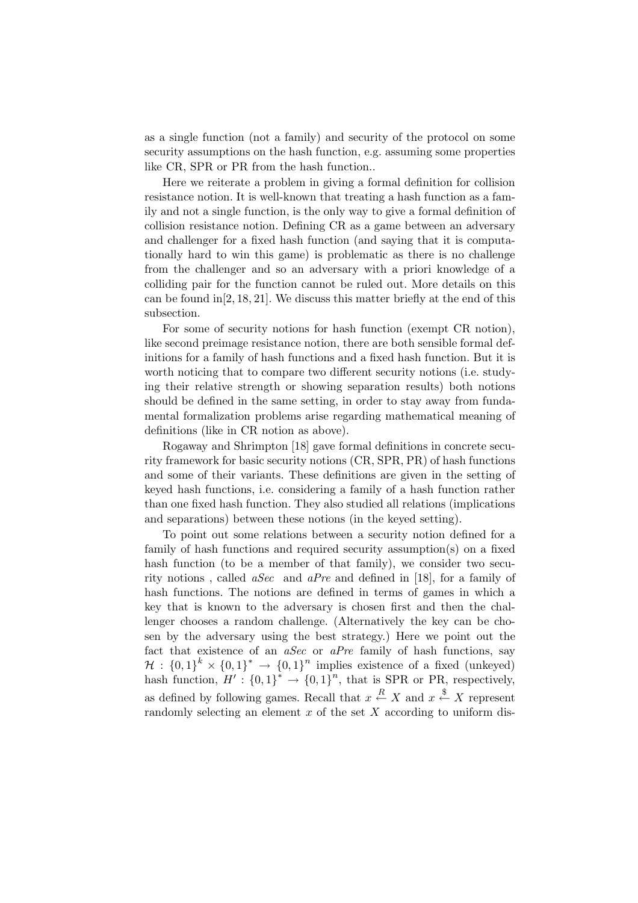as a single function (not a family) and security of the protocol on some security assumptions on the hash function, e.g. assuming some properties like CR, SPR or PR from the hash function..

Here we reiterate a problem in giving a formal definition for collision resistance notion. It is well-known that treating a hash function as a family and not a single function, is the only way to give a formal definition of collision resistance notion. Defining CR as a game between an adversary and challenger for a fixed hash function (and saying that it is computationally hard to win this game) is problematic as there is no challenge from the challenger and so an adversary with a priori knowledge of a colliding pair for the function cannot be ruled out. More details on this can be found in  $[2, 18, 21]$ . We discuss this matter briefly at the end of this subsection.

For some of security notions for hash function (exempt CR notion), like second preimage resistance notion, there are both sensible formal definitions for a family of hash functions and a fixed hash function. But it is worth noticing that to compare two different security notions (i.e. studying their relative strength or showing separation results) both notions should be defined in the same setting, in order to stay away from fundamental formalization problems arise regarding mathematical meaning of definitions (like in CR notion as above).

Rogaway and Shrimpton [18] gave formal definitions in concrete security framework for basic security notions (CR, SPR, PR) of hash functions and some of their variants. These definitions are given in the setting of keyed hash functions, i.e. considering a family of a hash function rather than one fixed hash function. They also studied all relations (implications and separations) between these notions (in the keyed setting).

To point out some relations between a security notion defined for a family of hash functions and required security assumption(s) on a fixed hash function (to be a member of that family), we consider two security notions , called aSec and aPre and defined in [18], for a family of hash functions. The notions are defined in terms of games in which a key that is known to the adversary is chosen first and then the challenger chooses a random challenge. (Alternatively the key can be chosen by the adversary using the best strategy.) Here we point out the fact that existence of an  $aSec$  or  $aPre$  family of hash functions, say  $\mathcal{H}: \{0,1\}^k \times \{0,1\}^* \to \{0,1\}^n$  implies existence of a fixed (unkeyed) hash function,  $H' : \{0,1\}^* \to \{0,1\}^n$ , that is SPR or PR, respectively, as defined by following games. Recall that  $x \stackrel{R}{\leftarrow} X$  and  $x \stackrel{\$}{\leftarrow} X$  represent randomly selecting an element  $x$  of the set  $X$  according to uniform dis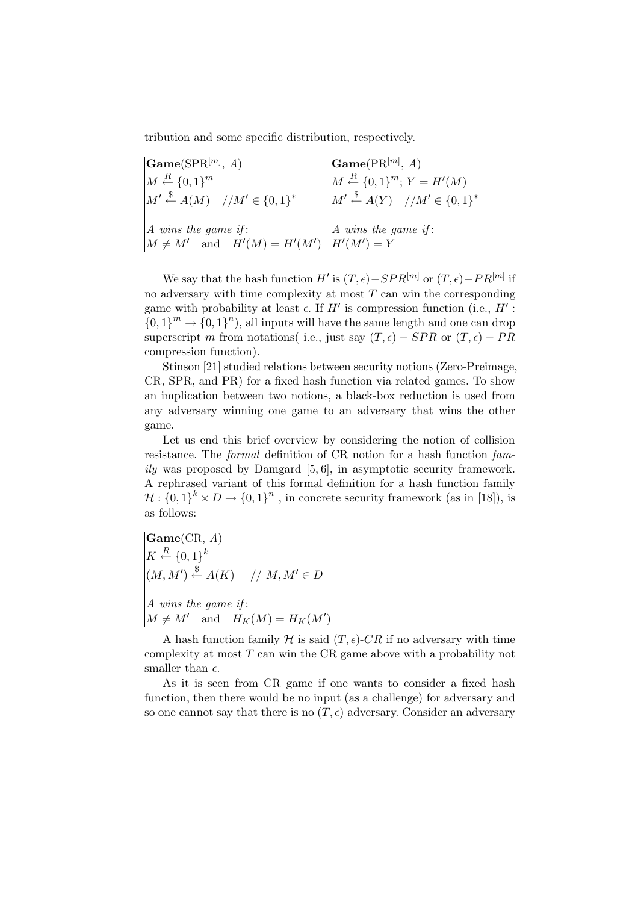tribution and some specific distribution, respectively.

 $\textbf{Game}(\text{SPR}^{[m]}, A)$   $|\textbf{Game}(\text{PR}^{[m]}, A)|$  $M \stackrel{R}{\leftarrow} \{0,1\}^m$   $M \stackrel{R}{\leftarrow} \{0,1\}^m$ ;  $Y = H'(M)$  $M' \stackrel{\$}{\leftarrow} A(M)$  // $M' \in \{0,1\}^*$   $M' \stackrel{\$}{\leftarrow} A(Y)$  // $M' \in \{0,1\}^*$ A wins the game if:  $\begin{cases} A \text{ wins the game if:} \\ A \text{ wins the game if:} \end{cases}$  $M \neq M'$  and  $H'(M) = H'(M')$   $|H'(M')| = Y$ 

We say that the hash function  $H'$  is  $(T, \epsilon) - SPR^{[m]}$  or  $(T, \epsilon) - PR^{[m]}$  if no adversary with time complexity at most  $T$  can win the corresponding game with probability at least  $\epsilon$ . If  $H'$  is compression function (i.e.,  $H'$ :  ${0, 1}^m \rightarrow {0, 1}^n$ , all inputs will have the same length and one can drop superscript m from notations( i.e., just say  $(T, \epsilon)$  – SPR or  $(T, \epsilon)$  – PR compression function).

Stinson [21] studied relations between security notions (Zero-Preimage, CR, SPR, and PR) for a fixed hash function via related games. To show an implication between two notions, a black-box reduction is used from any adversary winning one game to an adversary that wins the other game.

Let us end this brief overview by considering the notion of collision resistance. The *formal* definition of CR notion for a hash function family was proposed by Damgard [5, 6], in asymptotic security framework. A rephrased variant of this formal definition for a hash function family  $\mathcal{H}: \{0,1\}^k \times D \to \{0,1\}^n$ , in concrete security framework (as in [18]), is as follows:

Game(CR, A)  $K \stackrel{R}{\leftarrow} \{0,1\}^k$  $(M, M') \stackrel{\$}{\leftarrow} A(K)$  //  $M, M' \in D$ A wins the game if :  $M \neq M'$  and  $H_K(M) = H_K(M')$ 

A hash function family  $\mathcal H$  is said  $(T, \epsilon)$ -CR if no adversary with time complexity at most  $T$  can win the CR game above with a probability not smaller than  $\epsilon$ .

As it is seen from CR game if one wants to consider a fixed hash function, then there would be no input (as a challenge) for adversary and so one cannot say that there is no  $(T, \epsilon)$  adversary. Consider an adversary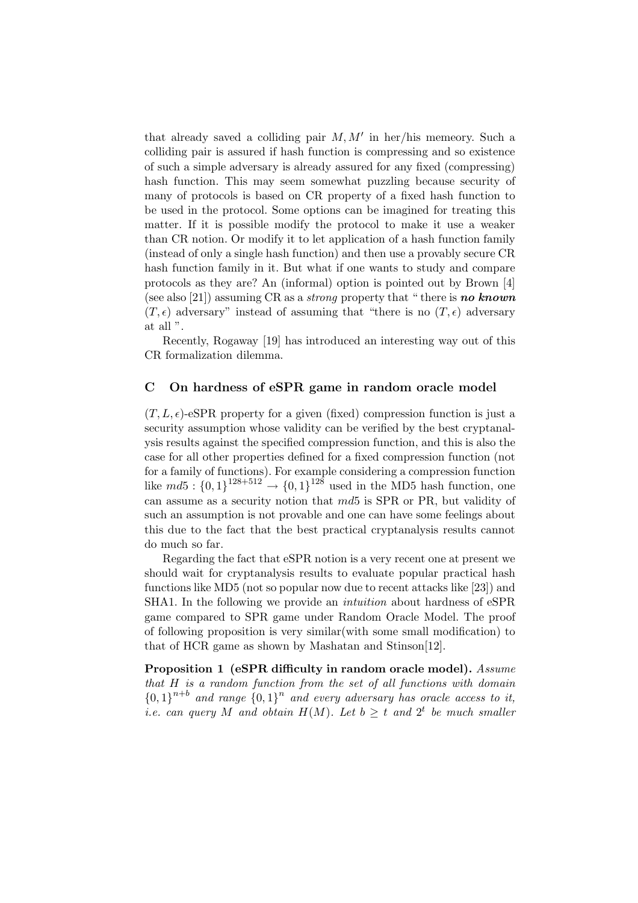that already saved a colliding pair  $M, M'$  in her/his memeory. Such a colliding pair is assured if hash function is compressing and so existence of such a simple adversary is already assured for any fixed (compressing) hash function. This may seem somewhat puzzling because security of many of protocols is based on CR property of a fixed hash function to be used in the protocol. Some options can be imagined for treating this matter. If it is possible modify the protocol to make it use a weaker than CR notion. Or modify it to let application of a hash function family (instead of only a single hash function) and then use a provably secure CR hash function family in it. But what if one wants to study and compare protocols as they are? An (informal) option is pointed out by Brown [4] (see also [21]) assuming CR as a *strong* property that " there is **no known**  $(T, \epsilon)$  adversary" instead of assuming that "there is no  $(T, \epsilon)$  adversary at all ".

Recently, Rogaway [19] has introduced an interesting way out of this CR formalization dilemma.

# C On hardness of eSPR game in random oracle model

 $(T, L, \epsilon)$ -eSPR property for a given (fixed) compression function is just a security assumption whose validity can be verified by the best cryptanalysis results against the specified compression function, and this is also the case for all other properties defined for a fixed compression function (not for a family of functions). For example considering a compression function like  $md5: \{0,1\}^{128+512} \to \{0,1\}^{128}$  used in the MD5 hash function, one can assume as a security notion that md5 is SPR or PR, but validity of such an assumption is not provable and one can have some feelings about this due to the fact that the best practical cryptanalysis results cannot do much so far.

Regarding the fact that eSPR notion is a very recent one at present we should wait for cryptanalysis results to evaluate popular practical hash functions like MD5 (not so popular now due to recent attacks like [23]) and SHA1. In the following we provide an intuition about hardness of eSPR game compared to SPR game under Random Oracle Model. The proof of following proposition is very similar(with some small modification) to that of HCR game as shown by Mashatan and Stinson[12].

Proposition 1 (eSPR difficulty in random oracle model). Assume that H is a random function from the set of all functions with domain  ${0,1}^{n+b}$  and range  ${0,1}^n$  and every adversary has oracle access to it, *i.e.* can query M and obtain  $H(M)$ . Let  $b \geq t$  and  $2^t$  be much smaller